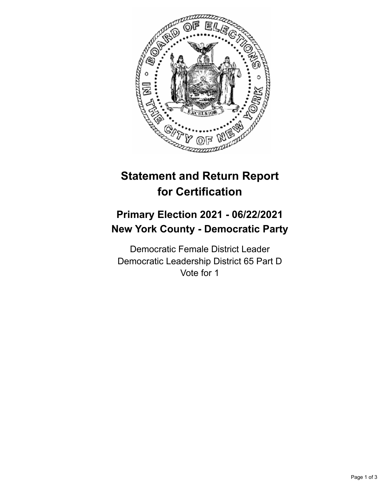

## **Statement and Return Report for Certification**

## **Primary Election 2021 - 06/22/2021 New York County - Democratic Party**

Democratic Female District Leader Democratic Leadership District 65 Part D Vote for 1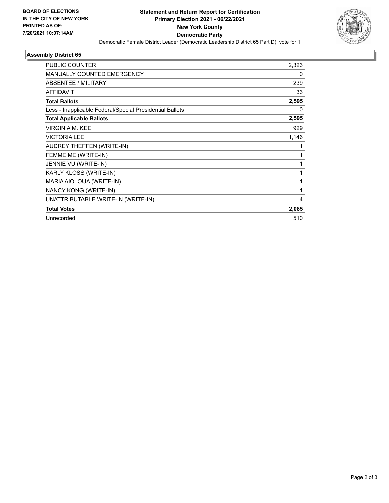

## **Assembly District 65**

| PUBLIC COUNTER                                           | 2,323        |
|----------------------------------------------------------|--------------|
| MANUALLY COUNTED EMERGENCY                               | $\mathbf{0}$ |
| ABSENTEE / MILITARY                                      | 239          |
| <b>AFFIDAVIT</b>                                         | 33           |
| <b>Total Ballots</b>                                     | 2,595        |
| Less - Inapplicable Federal/Special Presidential Ballots | 0            |
| <b>Total Applicable Ballots</b>                          | 2,595        |
| <b>VIRGINIA M. KEE</b>                                   | 929          |
| <b>VICTORIA LEE</b>                                      | 1,146        |
| AUDREY THEFFEN (WRITE-IN)                                | 1            |
| FEMME ME (WRITE-IN)                                      | 1            |
| JENNIE VU (WRITE-IN)                                     | 1            |
| KARLY KLOSS (WRITE-IN)                                   | 1            |
| MARIA AIOLOUA (WRITE-IN)                                 | 1            |
| NANCY KONG (WRITE-IN)                                    | 1            |
| UNATTRIBUTABLE WRITE-IN (WRITE-IN)                       | 4            |
| <b>Total Votes</b>                                       | 2,085        |
| Unrecorded                                               | 510          |